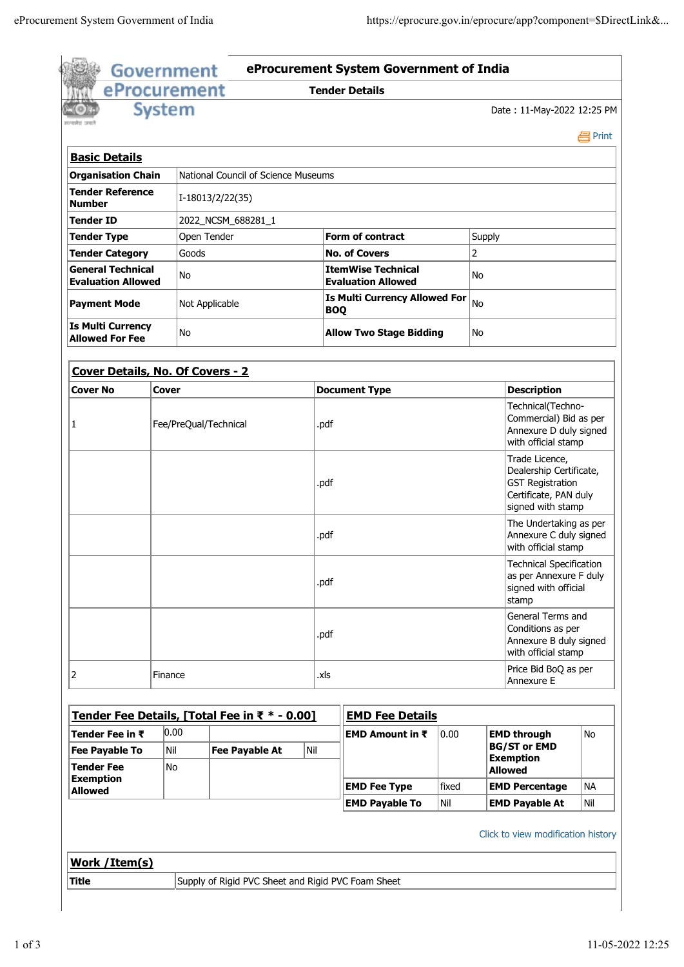| randret cett                                          | <b>System</b> |                                     |      |                                                              |              |                                                                                                                                                                      | Date: 11-May-2022 12:25 PM                                                                                         |            |  |
|-------------------------------------------------------|---------------|-------------------------------------|------|--------------------------------------------------------------|--------------|----------------------------------------------------------------------------------------------------------------------------------------------------------------------|--------------------------------------------------------------------------------------------------------------------|------------|--|
|                                                       |               |                                     |      |                                                              |              |                                                                                                                                                                      |                                                                                                                    | e Print    |  |
| <b>Basic Details</b>                                  |               |                                     |      |                                                              |              |                                                                                                                                                                      |                                                                                                                    |            |  |
| <b>Organisation Chain</b>                             |               | National Council of Science Museums |      |                                                              |              |                                                                                                                                                                      |                                                                                                                    |            |  |
| <b>Tender Reference</b><br><b>Number</b>              |               | I-18013/2/22(35)                    |      |                                                              |              |                                                                                                                                                                      |                                                                                                                    |            |  |
| <b>Tender ID</b>                                      |               | 2022_NCSM_688281_1                  |      |                                                              |              |                                                                                                                                                                      |                                                                                                                    |            |  |
| <b>Tender Type</b>                                    |               | Open Tender                         |      | <b>Form of contract</b>                                      | Supply       |                                                                                                                                                                      |                                                                                                                    |            |  |
| <b>Tender Category</b>                                | Goods         |                                     |      | <b>No. of Covers</b>                                         | 2            |                                                                                                                                                                      |                                                                                                                    |            |  |
| <b>General Technical</b><br><b>Evaluation Allowed</b> | No            |                                     |      | <b>ItemWise Technical</b><br>No<br><b>Evaluation Allowed</b> |              |                                                                                                                                                                      |                                                                                                                    |            |  |
| <b>Payment Mode</b>                                   |               | Not Applicable                      |      | <b>Is Multi Currency Allowed For</b><br>No<br><b>BOQ</b>     |              |                                                                                                                                                                      |                                                                                                                    |            |  |
| <b>Is Multi Currency</b><br><b>Allowed For Fee</b>    | No            |                                     |      | <b>Allow Two Stage Bidding</b>                               |              | No                                                                                                                                                                   |                                                                                                                    |            |  |
| Cover Details, No. Of Covers - 2                      |               |                                     |      |                                                              |              |                                                                                                                                                                      |                                                                                                                    |            |  |
| <b>Cover No</b><br>Cover                              |               |                                     |      | <b>Document Type</b>                                         |              |                                                                                                                                                                      | <b>Description</b>                                                                                                 |            |  |
| Fee/PreQual/Technical                                 |               |                                     | .pdf |                                                              |              | Technical(Techno-<br>Commercial) Bid as per<br>Annexure D duly signed<br>with official stamp                                                                         |                                                                                                                    |            |  |
|                                                       |               |                                     | .pdf |                                                              |              |                                                                                                                                                                      | Trade Licence,<br>Dealership Certificate,<br><b>GST Registration</b><br>Certificate, PAN duly<br>signed with stamp |            |  |
|                                                       |               |                                     | .pdf |                                                              |              | The Undertaking as per<br>Annexure C duly signed<br>with official stamp<br><b>Technical Specification</b><br>as per Annexure F duly<br>signed with official<br>stamp |                                                                                                                    |            |  |
|                                                       |               |                                     | .pdf |                                                              |              |                                                                                                                                                                      |                                                                                                                    |            |  |
|                                                       | .pdf          |                                     |      |                                                              |              | General Terms and<br>Conditions as per<br>Annexure B duly signed<br>with official stamp                                                                              |                                                                                                                    |            |  |
| 2                                                     | Finance       |                                     | .xls |                                                              |              |                                                                                                                                                                      | Price Bid BoQ as per<br>Annexure E                                                                                 |            |  |
| Tender Fee Details, [Total Fee in ₹ * - 0.00]         |               |                                     |      | <b>EMD Fee Details</b>                                       |              |                                                                                                                                                                      |                                                                                                                    |            |  |
| Tender Fee in $\bar{\tau}$                            | 0.00          |                                     |      | EMD Amount in $\bar{x}$                                      | 0.00         |                                                                                                                                                                      | <b>EMD through</b>                                                                                                 | <b>No</b>  |  |
| <b>Fee Payable To</b><br><b>Tender Fee</b>            | Nil<br>No     | <b>Fee Payable At</b>               | Nil  |                                                              |              |                                                                                                                                                                      | <b>BG/ST or EMD</b><br><b>Exemption</b>                                                                            |            |  |
|                                                       |               |                                     |      |                                                              |              | <b>Allowed</b>                                                                                                                                                       |                                                                                                                    |            |  |
| <b>Exemption</b>                                      |               |                                     |      | <b>EMD Fee Type</b>                                          | fixed<br>Nil | <b>EMD Payable At</b>                                                                                                                                                | <b>EMD Percentage</b>                                                                                              | NA.<br>Nil |  |
| <b>Allowed</b>                                        |               |                                     |      | <b>EMD Payable To</b>                                        |              |                                                                                                                                                                      |                                                                                                                    |            |  |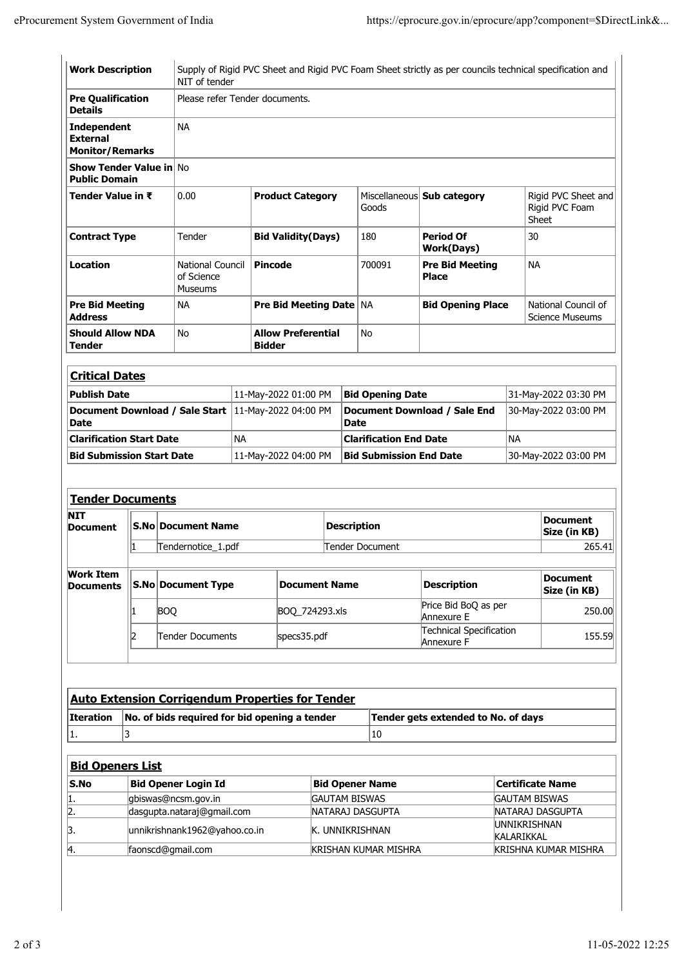| <b>Work Description</b>                                         |                         |                            | NIT of tender                                           |           |                                                         |                                                                                                    |                                              |                                             | Supply of Rigid PVC Sheet and Rigid PVC Foam Sheet strictly as per councils technical specification and |                                 |                                                |
|-----------------------------------------------------------------|-------------------------|----------------------------|---------------------------------------------------------|-----------|---------------------------------------------------------|----------------------------------------------------------------------------------------------------|----------------------------------------------|---------------------------------------------|---------------------------------------------------------------------------------------------------------|---------------------------------|------------------------------------------------|
| <b>Pre Qualification</b><br><b>Details</b>                      |                         |                            | Please refer Tender documents.                          |           |                                                         |                                                                                                    |                                              |                                             |                                                                                                         |                                 |                                                |
| <b>Independent</b><br><b>External</b><br><b>Monitor/Remarks</b> |                         | <b>NA</b>                  |                                                         |           |                                                         |                                                                                                    |                                              |                                             |                                                                                                         |                                 |                                                |
| <b>Show Tender Value in No</b><br><b>Public Domain</b>          |                         |                            |                                                         |           |                                                         |                                                                                                    |                                              |                                             |                                                                                                         |                                 |                                                |
| Tender Value in ₹                                               |                         | 0.00                       |                                                         |           | <b>Product Category</b>                                 |                                                                                                    |                                              | Goods                                       | Miscellaneous Sub category                                                                              |                                 | Rigid PVC Sheet and<br>Rigid PVC Foam<br>Sheet |
| <b>Contract Type</b>                                            |                         | Tender                     |                                                         |           | <b>Bid Validity(Days)</b>                               |                                                                                                    |                                              | 180                                         | 30<br><b>Period Of</b><br><b>Work(Days)</b>                                                             |                                 |                                                |
| Location                                                        |                         |                            | <b>National Council</b><br>of Science<br><b>Museums</b> |           | <b>Pincode</b>                                          |                                                                                                    |                                              | 700091                                      | <b>Pre Bid Meeting</b><br><b>NA</b><br><b>Place</b>                                                     |                                 |                                                |
| <b>Pre Bid Meeting</b><br><b>Address</b>                        |                         | <b>NA</b>                  |                                                         |           | <b>Pre Bid Meeting Date   NA</b>                        |                                                                                                    |                                              |                                             | <b>Bid Opening Place</b>                                                                                |                                 | National Council of<br><b>Science Museums</b>  |
| <b>Should Allow NDA</b><br>Tender                               |                         | <b>No</b>                  |                                                         |           | <b>Allow Preferential</b><br><b>Bidder</b>              |                                                                                                    |                                              | <b>No</b>                                   |                                                                                                         |                                 |                                                |
| <b>Critical Dates</b>                                           |                         |                            |                                                         |           |                                                         |                                                                                                    |                                              |                                             |                                                                                                         |                                 |                                                |
| <b>Publish Date</b>                                             |                         |                            |                                                         |           | 11-May-2022 01:00 PM                                    |                                                                                                    |                                              | <b>Bid Opening Date</b>                     | 31-May-2022 03:30 PM                                                                                    |                                 |                                                |
| Document Download / Sale Start<br><b>Date</b>                   |                         |                            |                                                         |           | 11-May-2022 04:00 PM                                    |                                                                                                    |                                              | Document Download / Sale End<br><b>Date</b> |                                                                                                         |                                 | 30-May-2022 03:00 PM                           |
| <b>Clarification Start Date</b>                                 |                         |                            |                                                         | <b>NA</b> |                                                         | <b>Clarification End Date</b><br><b>NA</b>                                                         |                                              |                                             |                                                                                                         |                                 |                                                |
| <b>Bid Submission Start Date</b><br>11-May-2022 04:00 PM        |                         |                            |                                                         |           |                                                         | <b>Bid Submission End Date</b>                                                                     |                                              |                                             | 30-May-2022 03:00 PM                                                                                    |                                 |                                                |
| <b>Tender Documents</b>                                         |                         |                            |                                                         |           |                                                         |                                                                                                    |                                              |                                             |                                                                                                         |                                 |                                                |
| <b>NIT</b><br><b>Document</b>                                   |                         |                            | <b>S.No Document Name</b>                               |           |                                                         |                                                                                                    | <b>Description</b>                           |                                             |                                                                                                         |                                 | <b>Document</b><br>Size (in KB)                |
|                                                                 | 1<br>Tendernotice_1.pdf |                            |                                                         |           | Tender Document                                         | 265.41                                                                                             |                                              |                                             |                                                                                                         |                                 |                                                |
| <b>Work Item</b><br>Documents                                   |                         |                            | <b>S.No Document Type</b>                               |           |                                                         | <b>Document Name</b><br><b>Description</b><br>Price Bid BoQ as per<br>BOQ_724293.xls<br>Annexure E |                                              |                                             |                                                                                                         | <b>Document</b><br>Size (in KB) |                                                |
|                                                                 |                         | <b>BOQ</b>                 |                                                         |           |                                                         |                                                                                                    |                                              |                                             |                                                                                                         | 250.00                          |                                                |
|                                                                 | 2                       |                            | Tender Documents<br>specs35.pdf                         |           |                                                         |                                                                                                    | <b>Technical Specification</b><br>Annexure F |                                             |                                                                                                         |                                 | 155.59                                         |
|                                                                 |                         |                            |                                                         |           |                                                         |                                                                                                    |                                              |                                             |                                                                                                         |                                 |                                                |
|                                                                 |                         |                            |                                                         |           | <b>Auto Extension Corrigendum Properties for Tender</b> |                                                                                                    |                                              |                                             |                                                                                                         |                                 |                                                |
| <b>Iteration</b>                                                |                         |                            | No. of bids required for bid opening a tender           |           |                                                         |                                                                                                    |                                              |                                             | Tender gets extended to No. of days                                                                     |                                 |                                                |
| 1.                                                              | 3                       |                            |                                                         |           |                                                         |                                                                                                    |                                              | 10                                          |                                                                                                         |                                 |                                                |
| <b>Bid Openers List</b>                                         |                         |                            |                                                         |           |                                                         |                                                                                                    |                                              |                                             |                                                                                                         |                                 |                                                |
| $\mathsf{S}.\mathsf{No}$                                        |                         | <b>Bid Opener Login Id</b> |                                                         |           |                                                         |                                                                                                    |                                              | <b>Bid Opener Name</b>                      |                                                                                                         |                                 | <b>Certificate Name</b>                        |

| S.No | Bid Opener Login Id           | Bid Opener Name             | Certificate Name             |  |  |  |
|------|-------------------------------|-----------------------------|------------------------------|--|--|--|
| 11.  | gbiswas@ncsm.gov.in           | <b>IGAUTAM BISWAS</b>       | <b>GAUTAM BISWAS</b>         |  |  |  |
| 2.   | dasgupta.nataraj@gmail.com    | <b>INATARAJ DASGUPTA</b>    | <b>NATARAJ DASGUPTA</b>      |  |  |  |
|      | unnikrishnank1962@yahoo.co.in | K. UNNIKRISHNAN             | <b>IUNNIKRISHNAN</b>         |  |  |  |
|      |                               |                             | KALARIKKAL                   |  |  |  |
| 14.  | faonscd@gmail.com             | <b>KRISHAN KUMAR MISHRA</b> | <b>IKRISHNA KUMAR MISHRA</b> |  |  |  |